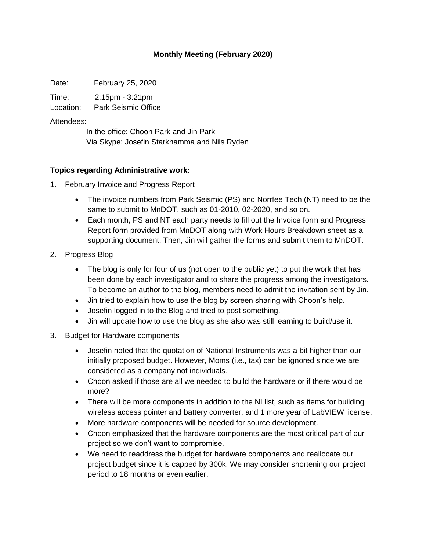## **Monthly Meeting (February 2020)**

Date: February 25, 2020

Time: 2:15pm - 3:21pm

Location: Park Seismic Office

#### Attendees:

In the office: Choon Park and Jin Park Via Skype: Josefin Starkhamma and Nils Ryden

## **Topics regarding Administrative work:**

- 1. February Invoice and Progress Report
	- The invoice numbers from Park Seismic (PS) and Norrfee Tech (NT) need to be the same to submit to MnDOT, such as 01-2010, 02-2020, and so on.
	- Each month, PS and NT each party needs to fill out the Invoice form and Progress Report form provided from MnDOT along with Work Hours Breakdown sheet as a supporting document. Then, Jin will gather the forms and submit them to MnDOT.
- 2. Progress Blog
	- The blog is only for four of us (not open to the public yet) to put the work that has been done by each investigator and to share the progress among the investigators. To become an author to the blog, members need to admit the invitation sent by Jin.
	- Jin tried to explain how to use the blog by screen sharing with Choon's help.
	- Josefin logged in to the Blog and tried to post something.
	- Jin will update how to use the blog as she also was still learning to build/use it.
- 3. Budget for Hardware components
	- Josefin noted that the quotation of National Instruments was a bit higher than our initially proposed budget. However, Moms (i.e., tax) can be ignored since we are considered as a company not individuals.
	- Choon asked if those are all we needed to build the hardware or if there would be more?
	- There will be more components in addition to the NI list, such as items for building wireless access pointer and battery converter, and 1 more year of LabVIEW license.
	- More hardware components will be needed for source development.
	- Choon emphasized that the hardware components are the most critical part of our project so we don't want to compromise.
	- We need to readdress the budget for hardware components and reallocate our project budget since it is capped by 300k. We may consider shortening our project period to 18 months or even earlier.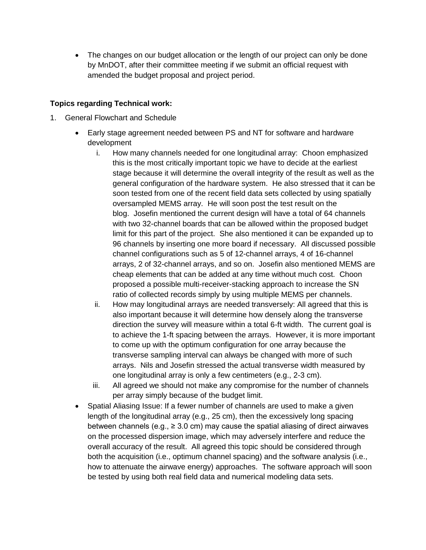• The changes on our budget allocation or the length of our project can only be done by MnDOT, after their committee meeting if we submit an official request with amended the budget proposal and project period.

# **Topics regarding Technical work:**

- 1. General Flowchart and Schedule
	- Early stage agreement needed between PS and NT for software and hardware development
		- i. How many channels needed for one longitudinal array: Choon emphasized this is the most critically important topic we have to decide at the earliest stage because it will determine the overall integrity of the result as well as the general configuration of the hardware system. He also stressed that it can be soon tested from one of the recent field data sets collected by using spatially oversampled MEMS array. He will soon post the test result on the blog. Josefin mentioned the current design will have a total of 64 channels with two 32-channel boards that can be allowed within the proposed budget limit for this part of the project. She also mentioned it can be expanded up to 96 channels by inserting one more board if necessary. All discussed possible channel configurations such as 5 of 12-channel arrays, 4 of 16-channel arrays, 2 of 32-channel arrays, and so on. Josefin also mentioned MEMS are cheap elements that can be added at any time without much cost. Choon proposed a possible multi-receiver-stacking approach to increase the SN ratio of collected records simply by using multiple MEMS per channels.
		- ii. How may longitudinal arrays are needed transversely: All agreed that this is also important because it will determine how densely along the transverse direction the survey will measure within a total 6-ft width. The current goal is to achieve the 1-ft spacing between the arrays. However, it is more important to come up with the optimum configuration for one array because the transverse sampling interval can always be changed with more of such arrays. Nils and Josefin stressed the actual transverse width measured by one longitudinal array is only a few centimeters (e.g., 2-3 cm).
		- iii. All agreed we should not make any compromise for the number of channels per array simply because of the budget limit.
	- Spatial Aliasing Issue: If a fewer number of channels are used to make a given length of the longitudinal array (e.g., 25 cm), then the excessively long spacing between channels (e.g.,  $\geq$  3.0 cm) may cause the spatial aliasing of direct airwaves on the processed dispersion image, which may adversely interfere and reduce the overall accuracy of the result. All agreed this topic should be considered through both the acquisition (i.e., optimum channel spacing) and the software analysis (i.e., how to attenuate the airwave energy) approaches. The software approach will soon be tested by using both real field data and numerical modeling data sets.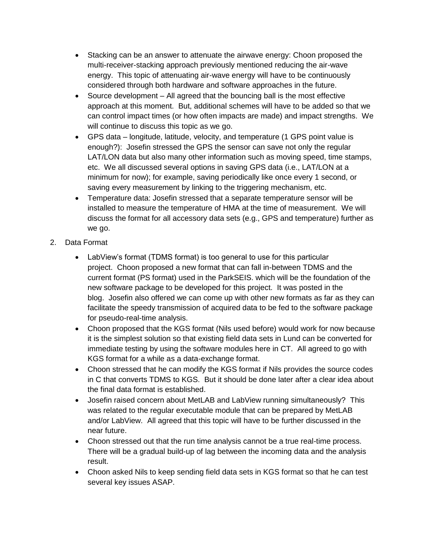- Stacking can be an answer to attenuate the airwave energy: Choon proposed the multi-receiver-stacking approach previously mentioned reducing the air-wave energy. This topic of attenuating air-wave energy will have to be continuously considered through both hardware and software approaches in the future.
- Source development All agreed that the bouncing ball is the most effective approach at this moment. But, additional schemes will have to be added so that we can control impact times (or how often impacts are made) and impact strengths. We will continue to discuss this topic as we go.
- GPS data longitude, latitude, velocity, and temperature (1 GPS point value is enough?): Josefin stressed the GPS the sensor can save not only the regular LAT/LON data but also many other information such as moving speed, time stamps, etc. We all discussed several options in saving GPS data (i.e., LAT/LON at a minimum for now); for example, saving periodically like once every 1 second, or saving every measurement by linking to the triggering mechanism, etc.
- Temperature data: Josefin stressed that a separate temperature sensor will be installed to measure the temperature of HMA at the time of measurement. We will discuss the format for all accessory data sets (e.g., GPS and temperature) further as we go.
- 2. Data Format
	- LabView's format (TDMS format) is too general to use for this particular project. Choon proposed a new format that can fall in-between TDMS and the current format (PS format) used in the ParkSEIS. which will be the foundation of the new software package to be developed for this project. It was posted in the blog. Josefin also offered we can come up with other new formats as far as they can facilitate the speedy transmission of acquired data to be fed to the software package for pseudo-real-time analysis.
	- Choon proposed that the KGS format (Nils used before) would work for now because it is the simplest solution so that existing field data sets in Lund can be converted for immediate testing by using the software modules here in CT. All agreed to go with KGS format for a while as a data-exchange format.
	- Choon stressed that he can modify the KGS format if Nils provides the source codes in C that converts TDMS to KGS. But it should be done later after a clear idea about the final data format is established.
	- Josefin raised concern about MetLAB and LabView running simultaneously? This was related to the regular executable module that can be prepared by MetLAB and/or LabView. All agreed that this topic will have to be further discussed in the near future.
	- Choon stressed out that the run time analysis cannot be a true real-time process. There will be a gradual build-up of lag between the incoming data and the analysis result.
	- Choon asked Nils to keep sending field data sets in KGS format so that he can test several key issues ASAP.